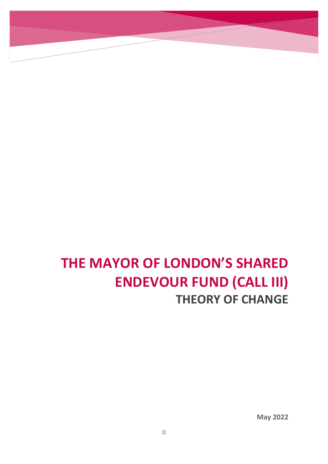# **THE MAYOR OF LONDON'S SHARED ENDEVOUR FUND (CALL III) THEORY OF CHANGE**

**May 2022**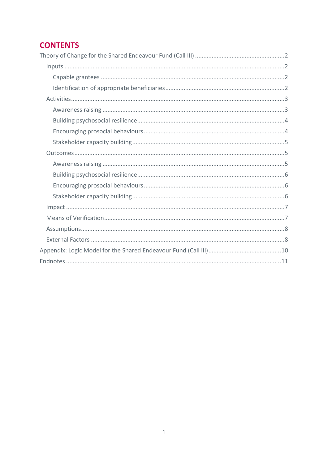# **CONTENTS**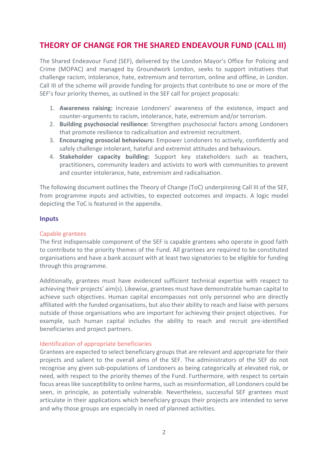# <span id="page-2-0"></span>**THEORY OF CHANGE FOR THE SHARED ENDEAVOUR FUND (CALL III)**

The Shared Endeavour Fund (SEF), delivered by the London Mayor's Office for Policing and Crime (MOPAC) and managed by Groundwork London, seeks to support initiatives that challenge racism, intolerance, hate, extremism and terrorism, online and offline, in London. Call III of the scheme will provide funding for projects that contribute to one or more of the SEF's four priority themes, as outlined in the SEF call for project proposals:

- 1. **Awareness raising:** Increase Londoners' awareness of the existence, impact and counter-arguments to racism, intolerance, hate, extremism and/or terrorism.
- 2. **Building psychosocial resilience:** Strengthen psychosocial factors among Londoners that promote resilience to radicalisation and extremist recruitment.
- 3. **Encouraging prosocial behaviours:** Empower Londoners to actively, confidently and safely challenge intolerant, hateful and extremist attitudes and behaviours.
- 4. **Stakeholder capacity building:** Support key stakeholders such as teachers, practitioners, community leaders and activists to work with communities to prevent and counter intolerance, hate, extremism and radicalisation.

The following document outlines the Theory of Change (ToC) underpinning Call III of the SEF, from programme inputs and activities, to expected outcomes and impacts. A logic model depicting the ToC is featured in the appendix.

# <span id="page-2-1"></span>**Inputs**

#### <span id="page-2-2"></span>Capable grantees

The first indispensable component of the SEF is capable grantees who operate in good faith to contribute to the priority themes of the Fund. All grantees are required to be constituted organisations and have a bank account with at least two signatories to be eligible for funding through this programme.

Additionally, grantees must have evidenced sufficient technical expertise with respect to achieving their projects' aim(s). Likewise, grantees must have demonstrable human capital to achieve such objectives. Human capital encompasses not only personnel who are directly affiliated with the funded organisations, but also their ability to reach and liaise with persons outside of those organisations who are important for achieving their project objectives. For example, such human capital includes the ability to reach and recruit pre-identified beneficiaries and project partners.

#### <span id="page-2-3"></span>Identification of appropriate beneficiaries

Grantees are expected to select beneficiary groups that are relevant and appropriate for their projects and salient to the overall aims of the SEF. The administrators of the SEF do not recognise any given sub-populations of Londoners as being categorically at elevated risk, or need, with respect to the priority themes of the Fund. Furthermore, with respect to certain focus areas like susceptibility to online harms, such as misinformation, all Londoners could be seen, in principle, as potentially vulnerable. Nevertheless, successful SEF grantees must articulate in their applications which beneficiary groups their projects are intended to serve and why those groups are especially in need of planned activities.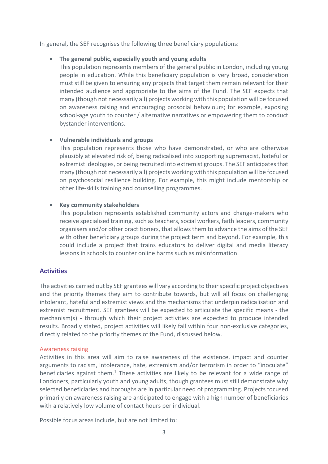In general, the SEF recognises the following three beneficiary populations:

# • **The general public, especially youth and young adults**

This population represents members of the general public in London, including young people in education. While this beneficiary population is very broad, consideration must still be given to ensuring any projects that target them remain relevant for their intended audience and appropriate to the aims of the Fund. The SEF expects that many (though not necessarily all) projects working with this population will be focused on awareness raising and encouraging prosocial behaviours; for example, exposing school-age youth to counter / alternative narratives or empowering them to conduct bystander interventions.

# • **Vulnerable individuals and groups**

This population represents those who have demonstrated, or who are otherwise plausibly at elevated risk of, being radicalised into supporting supremacist, hateful or extremist ideologies, or being recruited into extremist groups. The SEF anticipates that many (though not necessarily all) projects working with this population will be focused on psychosocial resilience building. For example, this might include mentorship or other life-skills training and counselling programmes.

#### • **Key community stakeholders**

This population represents established community actors and change-makers who receive specialised training, such as teachers, social workers, faith leaders, community organisers and/or other practitioners, that allows them to advance the aims of the SEF with other beneficiary groups during the project term and beyond. For example, this could include a project that trains educators to deliver digital and media literacy lessons in schools to counter online harms such as misinformation.

# <span id="page-3-0"></span>**Activities**

The activities carried out by SEF grantees will vary according to their specific project objectives and the priority themes they aim to contribute towards, but will all focus on challenging intolerant, hateful and extremist views and the mechanisms that underpin radicalisation and extremist recruitment. SEF grantees will be expected to articulate the specific means - the mechanism(s) - through which their project activities are expected to produce intended results. Broadly stated, project activities will likely fall within four non-exclusive categories, directly related to the priority themes of the Fund, discussed below.

#### <span id="page-3-1"></span>Awareness raising

Activities in this area will aim to raise awareness of the existence, impact and counter arguments to racism, intolerance, hate, extremism and/or terrorism in order to "inoculate" beneficiaries against them.<sup>1</sup> These activities are likely to be relevant for a wide range of Londoners, particularly youth and young adults, though grantees must still demonstrate why selected beneficiaries and boroughs are in particular need of programming. Projects focused primarily on awareness raising are anticipated to engage with a high number of beneficiaries with a relatively low volume of contact hours per individual.

Possible focus areas include, but are not limited to: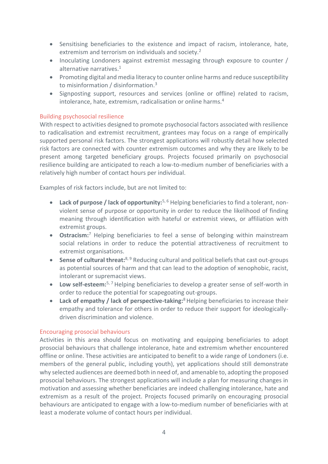- Sensitising beneficiaries to the existence and impact of racism, intolerance, hate, extremism and terrorism on individuals and society.<sup>2</sup>
- Inoculating Londoners against extremist messaging through exposure to counter / alternative narratives.<sup>1</sup>
- Promoting digital and media literacy to counter online harms and reduce susceptibility to misinformation / disinformation.<sup>3</sup>
- Signposting support, resources and services (online or offline) related to racism, intolerance, hate, extremism, radicalisation or online harms.<sup>4</sup>

#### <span id="page-4-0"></span>Building psychosocial resilience

With respect to activities designed to promote psychosocial factors associated with resilience to radicalisation and extremist recruitment, grantees may focus on a range of empirically supported personal risk factors. The strongest applications will robustly detail how selected risk factors are connected with counter extremism outcomes and why they are likely to be present among targeted beneficiary groups. Projects focused primarily on psychosocial resilience building are anticipated to reach a low-to-medium number of beneficiaries with a relatively high number of contact hours per individual.

Examples of risk factors include, but are not limited to:

- **Lack of purpose / lack of opportunity:**5, 6 Helping beneficiaries to find a tolerant, nonviolent sense of purpose or opportunity in order to reduce the likelihood of finding meaning through identification with hateful or extremist views, or affiliation with extremist groups.
- **Ostracism:**<sup>7</sup> Helping beneficiaries to feel a sense of belonging within mainstream social relations in order to reduce the potential attractiveness of recruitment to extremist organisations.
- **Sense of cultural threat:**<sup>8, 9</sup> Reducing cultural and political beliefs that cast out-groups as potential sources of harm and that can lead to the adoption of xenophobic, racist, intolerant or supremacist views.
- **Low self-esteem:**5, 7 Helping beneficiaries to develop a greater sense of self-worth in order to reduce the potential for scapegoating out-groups.
- **Lack of empathy / lack of perspective-taking:**<sup>8</sup> Helping beneficiaries to increase their empathy and tolerance for others in order to reduce their support for ideologicallydriven discrimination and violence.

#### <span id="page-4-1"></span>Encouraging prosocial behaviours

Activities in this area should focus on motivating and equipping beneficiaries to adopt prosocial behaviours that challenge intolerance, hate and extremism whether encountered offline or online. These activities are anticipated to benefit to a wide range of Londoners (i.e. members of the general public, including youth), yet applications should still demonstrate why selected audiences are deemed both in need of, and amenable to, adopting the proposed prosocial behaviours. The strongest applications will include a plan for measuring changes in motivation and assessing whether beneficiaries are indeed challenging intolerance, hate and extremism as a result of the project. Projects focused primarily on encouraging prosocial behaviours are anticipated to engage with a low-to-medium number of beneficiaries with at least a moderate volume of contact hours per individual.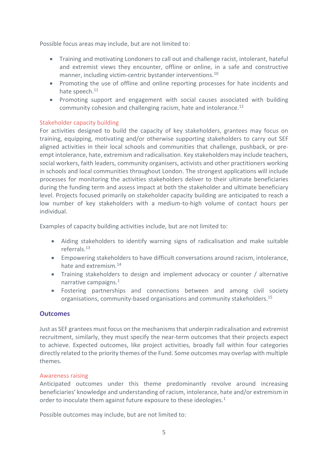Possible focus areas may include, but are not limited to:

- Training and motivating Londoners to call out and challenge racist, intolerant, hateful and extremist views they encounter, offline or online, in a safe and constructive manner, including victim-centric bystander interventions.<sup>10</sup>
- Promoting the use of offline and online reporting processes for hate incidents and hate speech.<sup>11</sup>
- Promoting support and engagement with social causes associated with building community cohesion and challenging racism, hate and intolerance.<sup>12</sup>

# <span id="page-5-0"></span>Stakeholder capacity building

For activities designed to build the capacity of key stakeholders, grantees may focus on training, equipping, motivating and/or otherwise supporting stakeholders to carry out SEF aligned activities in their local schools and communities that challenge, pushback, or preempt intolerance, hate, extremism and radicalisation. Key stakeholders may include teachers, social workers, faith leaders, community organisers, activists and other practitioners working in schools and local communities throughout London. The strongest applications will include processes for monitoring the activities stakeholders deliver to their ultimate beneficiaries during the funding term and assess impact at both the stakeholder and ultimate beneficiary level. Projects focused primarily on stakeholder capacity building are anticipated to reach a low number of key stakeholders with a medium-to-high volume of contact hours per individual.

Examples of capacity building activities include, but are not limited to:

- Aiding stakeholders to identify warning signs of radicalisation and make suitable referrals. 13
- Empowering stakeholders to have difficult conversations around racism, intolerance, hate and extremism.<sup>14</sup>
- Training stakeholders to design and implement advocacy or counter / alternative narrative campaigns.<sup>1</sup>
- Fostering partnerships and connections between and among civil society organisations, community-based organisations and community stakeholders.<sup>15</sup>

#### <span id="page-5-1"></span>**Outcomes**

Just as SEF grantees must focus on the mechanisms that underpin radicalisation and extremist recruitment, similarly, they must specify the near-term outcomes that their projects expect to achieve. Expected outcomes, like project activities, broadly fall within four categories directly related to the priority themes of the Fund. Some outcomes may overlap with multiple themes.

#### <span id="page-5-2"></span>Awareness raising

Anticipated outcomes under this theme predominantly revolve around increasing beneficiaries' knowledge and understanding of racism, intolerance, hate and/or extremism in order to inoculate them against future exposure to these ideologies. $1$ 

Possible outcomes may include, but are not limited to: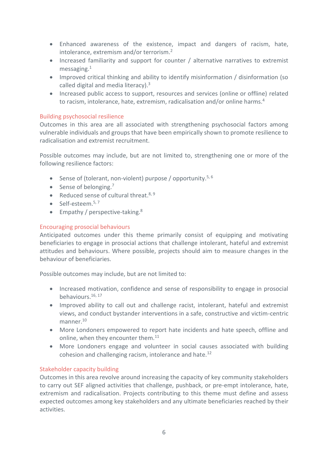- Enhanced awareness of the existence, impact and dangers of racism, hate, intolerance, extremism and/or terrorism.<sup>2</sup>
- Increased familiarity and support for counter / alternative narratives to extremist messaging. 1
- Improved critical thinking and ability to identify misinformation / disinformation (so called digital and media literacy).<sup>3</sup>
- Increased public access to support, resources and services (online or offline) related to racism, intolerance, hate, extremism, radicalisation and/or online harms.<sup>4</sup>

#### <span id="page-6-0"></span>Building psychosocial resilience

Outcomes in this area are all associated with strengthening psychosocial factors among vulnerable individuals and groups that have been empirically shown to promote resilience to radicalisation and extremist recruitment.

Possible outcomes may include, but are not limited to, strengthening one or more of the following resilience factors:

- Sense of (tolerant, non-violent) purpose / opportunity.<sup>5, 6</sup>
- Sense of belonging. $<sup>7</sup>$ </sup>
- Reduced sense of cultural threat.<sup>8, 9</sup>
- Self-esteem.<sup>5,7</sup>
- Empathy / perspective-taking.<sup>8</sup>

# <span id="page-6-1"></span>Encouraging prosocial behaviours

Anticipated outcomes under this theme primarily consist of equipping and motivating beneficiaries to engage in prosocial actions that challenge intolerant, hateful and extremist attitudes and behaviours. Where possible, projects should aim to measure changes in the behaviour of beneficiaries.

Possible outcomes may include, but are not limited to:

- Increased motivation, confidence and sense of responsibility to engage in prosocial behaviours.<sup>16, 17</sup>
- Improved ability to call out and challenge racist, intolerant, hateful and extremist views, and conduct bystander interventions in a safe, constructive and victim-centric manner. 10
- More Londoners empowered to report hate incidents and hate speech, offline and online, when they encounter them.<sup>11</sup>
- More Londoners engage and volunteer in social causes associated with building cohesion and challenging racism, intolerance and hate.<sup>12</sup>

# <span id="page-6-2"></span>Stakeholder capacity building

Outcomes in this area revolve around increasing the capacity of key community stakeholders to carry out SEF aligned activities that challenge, pushback, or pre-empt intolerance, hate, extremism and radicalisation. Projects contributing to this theme must define and assess expected outcomes among key stakeholders and any ultimate beneficiaries reached by their activities.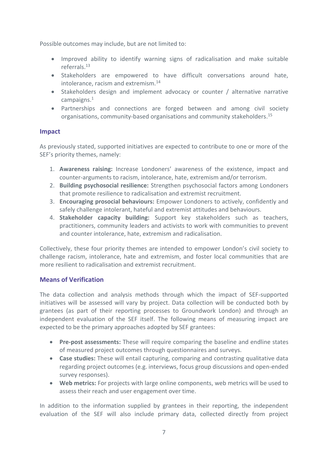Possible outcomes may include, but are not limited to:

- Improved ability to identify warning signs of radicalisation and make suitable referrals. 13
- Stakeholders are empowered to have difficult conversations around hate, intolerance, racism and extremism.<sup>14</sup>
- Stakeholders design and implement advocacy or counter / alternative narrative campaigns. 1
- Partnerships and connections are forged between and among civil society organisations, community-based organisations and community stakeholders. 15

# <span id="page-7-0"></span>**Impact**

As previously stated, supported initiatives are expected to contribute to one or more of the SEF's priority themes, namely:

- 1. **Awareness raising:** Increase Londoners' awareness of the existence, impact and counter-arguments to racism, intolerance, hate, extremism and/or terrorism.
- 2. **Building psychosocial resilience:** Strengthen psychosocial factors among Londoners that promote resilience to radicalisation and extremist recruitment.
- 3. **Encouraging prosocial behaviours:** Empower Londoners to actively, confidently and safely challenge intolerant, hateful and extremist attitudes and behaviours.
- 4. **Stakeholder capacity building:** Support key stakeholders such as teachers, practitioners, community leaders and activists to work with communities to prevent and counter intolerance, hate, extremism and radicalisation.

Collectively, these four priority themes are intended to empower London's civil society to challenge racism, intolerance, hate and extremism, and foster local communities that are more resilient to radicalisation and extremist recruitment.

# <span id="page-7-1"></span>**Means of Verification**

The data collection and analysis methods through which the impact of SEF-supported initiatives will be assessed will vary by project. Data collection will be conducted both by grantees (as part of their reporting processes to Groundwork London) and through an independent evaluation of the SEF itself. The following means of measuring impact are expected to be the primary approaches adopted by SEF grantees:

- **Pre-post assessments:** These will require comparing the baseline and endline states of measured project outcomes through questionnaires and surveys.
- **Case studies:** These will entail capturing, comparing and contrasting qualitative data regarding project outcomes (e.g. interviews, focus group discussions and open-ended survey responses).
- **Web metrics:** For projects with large online components, web metrics will be used to assess their reach and user engagement over time.

In addition to the information supplied by grantees in their reporting, the independent evaluation of the SEF will also include primary data, collected directly from project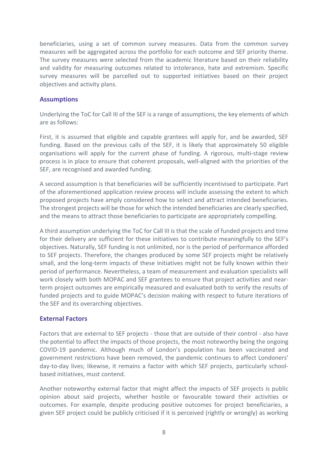beneficiaries, using a set of common survey measures. Data from the common survey measures will be aggregated across the portfolio for each outcome and SEF priority theme. The survey measures were selected from the academic literature based on their reliability and validity for measuring outcomes related to intolerance, hate and extremism. Specific survey measures will be parcelled out to supported initiatives based on their project objectives and activity plans.

#### <span id="page-8-0"></span>**Assumptions**

Underlying the ToC for Call III of the SEF is a range of assumptions, the key elements of which are as follows:

First, it is assumed that eligible and capable grantees will apply for, and be awarded, SEF funding. Based on the previous calls of the SEF, it is likely that approximately 50 eligible organisations will apply for the current phase of funding. A rigorous, multi-stage review process is in place to ensure that coherent proposals, well-aligned with the priorities of the SEF, are recognised and awarded funding.

A second assumption is that beneficiaries will be sufficiently incentivised to participate. Part of the aforementioned application review process will include assessing the extent to which proposed projects have amply considered how to select and attract intended beneficiaries. The strongest projects will be those for which the intended beneficiaries are clearly specified, and the means to attract those beneficiaries to participate are appropriately compelling.

A third assumption underlying the ToC for Call III is that the scale of funded projects and time for their delivery are sufficient for these initiatives to contribute meaningfully to the SEF's objectives. Naturally, SEF funding is not unlimited, nor is the period of performance afforded to SEF projects. Therefore, the changes produced by some SEF projects might be relatively small, and the long-term impacts of these initiatives might not be fully known within their period of performance. Nevertheless, a team of measurement and evaluation specialists will work closely with both MOPAC and SEF grantees to ensure that project activities and nearterm project outcomes are empirically measured and evaluated both to verify the results of funded projects and to guide MOPAC's decision making with respect to future iterations of the SEF and its overarching objectives.

# <span id="page-8-1"></span>**External Factors**

Factors that are external to SEF projects - those that are outside of their control - also have the potential to affect the impacts of those projects, the most noteworthy being the ongoing COVID-19 pandemic. Although much of London's population has been vaccinated and government restrictions have been removed, the pandemic continues to affect Londoners' day-to-day lives; likewise, it remains a factor with which SEF projects, particularly schoolbased initiatives, must contend.

Another noteworthy external factor that might affect the impacts of SEF projects is public opinion about said projects, whether hostile or favourable toward their activities or outcomes. For example, despite producing positive outcomes for project beneficiaries, a given SEF project could be publicly criticised if it is perceived (rightly or wrongly) as working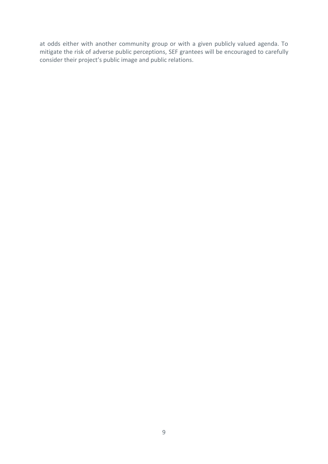at odds either with another community group or with a given publicly valued agenda. To mitigate the risk of adverse public perceptions, SEF grantees will be encouraged to carefully consider their project's public image and public relations.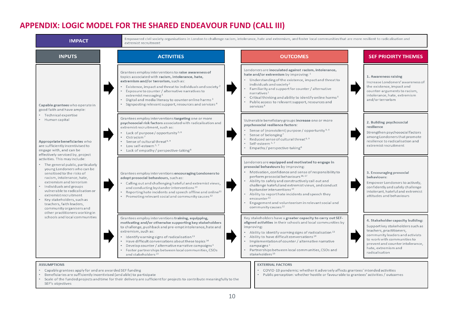# **APPENDIX: LOGIC MODEL FOR THE SHARED ENDEAVOUR FUND (CALL III)**

SEF's objectives



<span id="page-10-0"></span>• Public perception: whether hostile or favourable to grantees' activities / outcomes • Scale of the funded projects and time for their delivery are sufficient for projects to contribute meaningfully to the